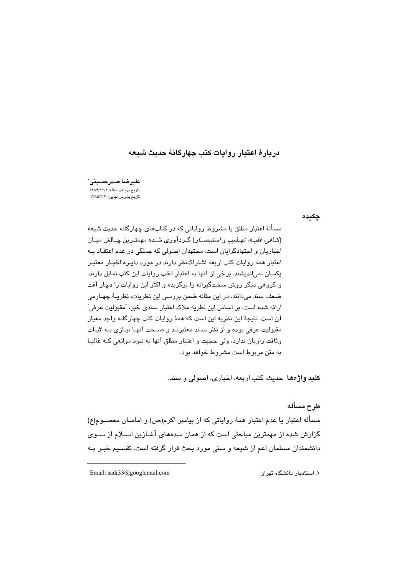## دربارهٔ اعتبار روايات كتب چهارگانهٔ حديث شيعه

عليرضا صدرحسينى ٰ تاريخ دريافت مقاله: ١٣٨۴/١٢/٩ تاریخ پذیرش نهایی: ۱۳۸۵/۲/۲۰

چکیدہ

مسألهٔ اعتبار مطلق یا مشروط روایاتی که در کتابهای چهارگانه حدیث شیعه (*کــافي، فقيــه، تهـذيب و استيصــار*) گـردآوري شــده مهمتـرين چــالش ميــان اخبار بان و احتهادگر ایان است. محتهدان اصولی که حملگی در عدم اعتقـاد بــه اعتبار همه روایات کتب اربعه اشتراکنظر دارند در مورد دایـره اخبـار معتبـر یکسان نمی|ندیشند. برخی از آنها به اعتبار اغلب روایات این کتب تمایل دارند، و گروهی دیگر روش سختگیرانه را برگزیده و اکثر این روایات را دچار آفت ضعف سند می،دانند. در این مقاله ضمن بررسی این نظریات، نظریــهٔ چهــارمی ارائه شده است. بر اساس این نظریه ملاک اعتبار سندی خبر، "مقبولیت عرفی" آن است. نتيجة اين نظريه اين است كه همهٔ روايات كتب چهارگانه واجد معيار مقبوليت عرفي بوده و از نظر سـند معتبرنـد و صـحت آنهـا نيـازي بــه اثبـات وثاقت راويان ندارد، ولي حجيت و اعتبار مطلق آنها به نبود موانعي كـه غالبـا په متن مربوط است مشروط خواهد بود.

كليد وإژهها حديث، كتب اربعه، اخباري، اصولي و سند.

# طرح مسأله

مسأله اعتبار يا عدم اعتبار همهٔ رواياتي که از پيامبر اکرم(ص) و امامــان معصــوم(ع) گزارش شده از مهمترین مباحثی است که از همان سدههای آغـازین اســلام از ســوی دانشمندان مسلمان اعم از شیعه و سنی مورد بحث قرار گرفته است. تقسیم خبـر بـه

Email: sadr33@googlemail.com

۱. استادیار دانشگاه تهران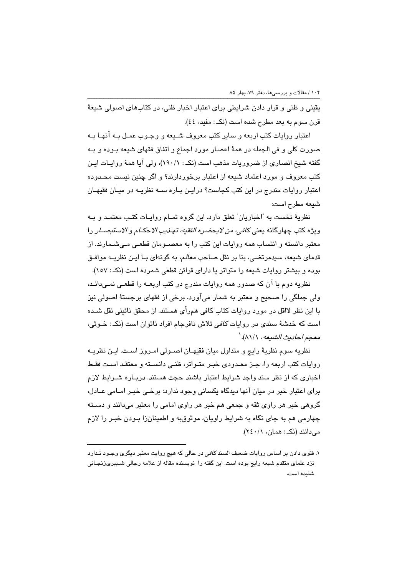یقینی و ظنی و قرار دادن شرایطی برای اعتبار اخبار ظنی، در کتابهای اصولی شیعهٔ قرن سوم به بعد مطرح شده است (نکه: مفید، ٤٤).

اعتبار روايات كتب اربعه و ساير كتب معروف شـيعه و وجـوب عمـل بــه آنهـا بــه صورت كلي و في الجمله در همهٔ اعصار مورد اجماع و اتفاق فقهاي شيعه بـوده و بـه گفته شیخ انصاری از ضروریات مذهب است (نکـ : ۱۹۰/۱)، ولی آیا همهٔ روایـات ایـن کتب معروف و مورد اعتماد شیعه از اعتبار برخوردارند؟ و اگر چنین نیست محبدوده اعتبار روایات مندرج در این کتب کجاست؟ درایـن بـاره ســه نظریـه در میـان فقیهـان شيعه مطرح است:

نظريهٔ نخست به "اخباريان" تعلق دارد. اين گروه تمـام روايـات كتـب معتمـد و بـه ويژه كتب چهارگانه يعن*ى كافى، من لايحضره الفقيه، تهـذيب الا*ح*كـام و الاستبصــار* را معتبر دانسته و انتساب همه روایات این کتب را به معصـومان قطعـی مـیشـمارند. از قدمای شیعه، سیدمرتضی، بنا بر نقل صاحب *معالم،* به گونهای بـا ایـن نظریـه موافـق بوده و بیشتر روایات شیعه را متواتر یا دارای قرائن قطعی شمرده است (نکـ : ۱۵۷).

نظریه دوح یا آن که صدور همه روایات مندرج در کتب اربعیه را قطعی نمبے،دانید، ولی جملگی را صحیح و معتبر به شمار میآورد. برخی از فقهای برجستهٔ اصولی نیز با این نظر لااقل در مورد روایات کتاب کافی همرأی هستند. از محقق نائینی نقل شـده است که خدشهٔ سندی در روایات *کافی* تلاش نافرجام افراد ناتوان است (نک: خـوئی، معجم *احاديث الشيعه*، ٨١/١). `

نظريه سوم نظرية رايج و متداول ميان فقيهـان اصـولى امـروز اسـت. ايـن نظريـه روایات کتب اربعه را، جـز معـدودی خبـر متـواتر، ظنـی دانسـته و معتقـد اسـت فقـط اخباری که از نظر سند واجد شرایط اعتبار باشند حجت هستند. دربـاره شـرایط لازم برای اعتبار خبر در میان آنها دیدگاه یکسانی وجود ندارد: برخـی خبـر امـامی عــادل، گروهی خبر هر راوی ثقه و جمعی هم خبر هر راوی امامی را معتبر میدانند و دسـته چهارمی هم به جای نگاه به شرایط راویان، موثوقبه و اطمینانزا بـودن خبـر را لازم مي دانند (نک: همان، ٢٤٠/١).

۱. فتوی دادن بر اساس روایات ضعیف السند *کافی* در حالی که هیچ روایت معتبر دیگری وجـود نـدارد نزد علمای متقدم شیعه رایج بوده است. این گفته را نویسنده مقاله از علامه رجالی شـبیریزنجـانی شنيده است.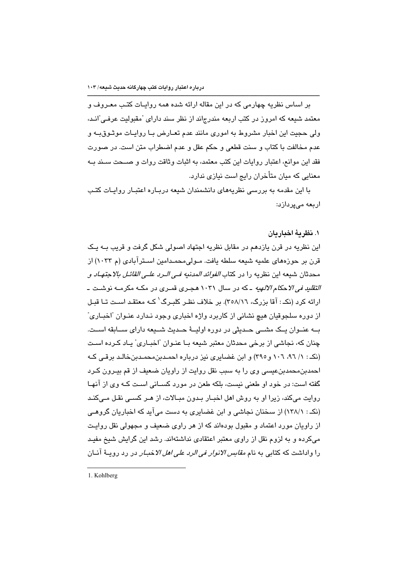بر اساس نظریه چهارمی که در این مقاله ارائه شده همه روایـات کتـب معـروف و معتمد شیعه که امروز در کتب اربعه مندرجاند از نظر سند دارای "مقبولیت عرفـی"انـد، ولي حجيت اين اخبار مشروط به اموري مانند عدم تعـارض بـا روايـات موثـوقبـه و عدم مخالفت با كتاب و سنت قطعى و حكم عقل و عدم اضطراب متن است. در صورت فقد این موانع، اعتبار روایات این کتب معتمد، به اثبات وثاقت روات و صبحت سبند ب معنایی که میان متأخران رایج است نیازی ندارد.

با این مقدمه به بررسی نظریههای دانشمندان شیعه دربـاره اعتبـار روایـات کتـب اربعه مے،پردازد:

#### ١. نظريهٔ اخباريان

این نظریه در قرن یازدهم در مقابل نظریه اجتهاد اصولی شکل گرفت و قریب بـه یـک قرن بر حوزههای علمیه شیعه سلطه یافت. مـولی محمـدامین اسـترآبادی (م ۱۰۳۳) از محدثان شيعه ابن نظريه را در كتاب *الفوائد المدنيه في الـرد علـي القائـل بالا*جت*هـاد و التقليد في الاحكام الالهيه* - كه در سال ١٠٣١ هجـري ق*مـري* در مكـه مكرمـه نوشـت -ارائه کرد (نکـ : آقا بزرگ، ٢٥٨/١٦). بر خلاف نظـر کلبـرگ` کـه معتقـد اسـت تــا قبـل از دوره سلجوقیان هیچ نشانی از کاربرد واژه اخباری وجود نـدارد عنـوان ًاخبـاری ً بــه عنــوان يــک مشـــي حــديثي در دوره اوليـــهٔ حــديث شــيعه داراي ســـابقه اســت. چنان که، نجاشی از برخی محدثان معتبر شیعه بـا عنـوان "اخبـاری" پـاد کـرده اسـت (نک: ١/ ٩٦، ١٠٦ و ٣٩٥) و ابن غضایری نیز درباره احمدبن محمدبن خالد برقی که احمدبن،حمدبنءیسی وی را به سبب نقل روایت از راویان ضعیف از قم بیـرون کـرد گفته است: در خود او طعنی نیست، بلکه طعن در مورد کســانی اســت کــه وی از آنهـا روایت میکنه، زیرا او به روش اهل اخبـار بـدون مبـالات، از هـر کسـی نقـل مـیکنـد (نکه: ۱۳۸/۱) از سخنان نجاشی و ابن غضایری به دست میآید که اخباریان گروهـی از راویان مورد اعتماد و مقبول بودهاند که از هر راوی ضعیف و مجهولی نقل روایت میکرده و به لزوم نقل از راوی معتبر اعتقادی نداشتهاند. رشد این گرایش شیخ مفیـد را واداشت که کتابی به نام *مقابس الانوار فی الرد علی اهل الا*خبـ*ار* در رد رویــهٔ آنــان

1. Kohlberg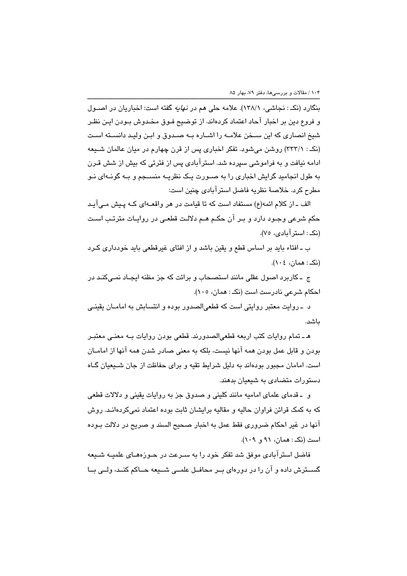بنگارد (نکـ : نجاشی، ۱۳۸/۱). علامه حلی هم در *نهایه* گفته است: اخباریان در اصــول و فروع دین بر اخبار آحاد اعتماد کردهاند. از توضیح فـوق مخـدوش بـودن ایـن نظـر شیخ انصاری که این سـخن علامـه را اشـاره بـه صـدوق و ابـن ولیـد دانسـته اسـت (نکه: ٣٣٣/١) روشن می شود. تفکر اخباری پس از قرن چهارم در میان عالمان شـیعه ادامه نیافت و به فراموشی سپرده شد. استرآبادی پس از فترتی که بیش از شش قـرن به طول انجامید گرایش اخباری را به صبورت یک نظریـه منسـجم و بـه گونـهای نـو مطرح كرد. خلاصهٔ نظریه فاضل استرآبادی چنین است:

الف ـ از كلام ائمه(ع) مستفاد است كه تا قيامت در هر واقعــهاي كــه پـيش مــي آيـد حکم شرعی وجـود دارد و بـر آن حکـم هـم دلالـت قطعـی در روایـات مترتـب اسـت (نک: استرآبادی، ۷۵).

ب ـ افتاء باید بر اساس قطع و یقین باشد و از افتای غیرقطعی باید خودداری کـرد (نکه: همان، ۱۰٤).

ج ۔کاربرد اصول عقلی مانند استصحاب و برائت که جز مظنه ایجـاد نمـیکنـد در احکام شرعی نادرست است (نکه: همان، ۱۰۵).

د \_روایت معتبر روایتی است که قطعیالصدور بوده و انتسابش به امامـان یقینـی ىاشد.

هــ تمام روايات كتب اربعه قطعىالصدورند. قطعى بودن روايات بــه معنــى معتبـر بودن و قابل عمل بودن همه آنها نیست، بلکه به معنی صادر شدن همه آنها از امامــان است. امامان مجبور بودهاند به دلیل شرایط تقیه و برای حفاظت از جان شـیعیان گـاه دستورات متضادی به شیعیان بدهند.

و ـ قدمای علمای امامیه مانند کلینی و صدوق جز به روایات یقینی و دلالات قطعی که به کمک قرائن فراوان حالیه و مقالیه برایشان ثابت بوده اعتماد نمیکردهانـد. روش آنها در غیر احکام ضروری فقط عمل به اخبار صحیح السند و صریح در دلالت بـوده است (نک: همان، ۹۱ و ۱۰۹).

فاضل استرآبادی موفق شد تفکر خود را به سـرعت در حـوزههـای علمیـه شـیعه گســترش داده و آن را در دورهای بــر محافــل علمــی شــیعه حــاکم کنــد، ولــی بــا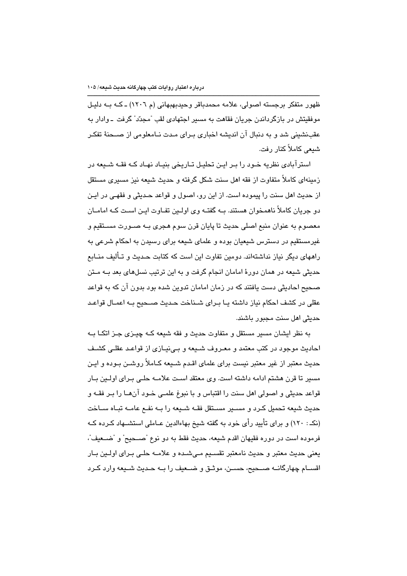ظهور متفکر برجسته اصولی، علامه محمدباقر وحیدبهبهانی (م ١٢٠٦) ـ کـه بــه دلیـل موفقیتش در بازگرداندن جریان فقاهت به مسیر اجتهادی لقب "مجدّد" گرفت ـ وادار به عقبِنشینی شد و به دنبال آن اندیشه اخباری بـرای مـدت نـامعلومی از صـحنهٔ تفکـر شىعى كاملاً كنار رفت.

استر آبادی نظریه خبور را پیر این تحلیل تباریخی بنیاد نهباد کبه فقبه شییعه در زمینهای کاملاً متفاوت از فقه اهل سنت شکل گرفته و حدیث شیعه نیز مسیری مستقل از حديث اهل سنت را پيموده است. از اين رو، اصول و قواعد حـديثي و فقهـي در ايـن دو جریان کاملاً ناهمخوان هستند. بــه گفتــه وی اولــین تفــاوت ایــن اســت کــه امامــان معصوم به عنوان منبع اصلي حديث تا پايان قرن سوم هجري بـه صـورت مسـتقيم و غیرمستقیم در دسترس شیعیان بوده و علمای شیعه برای رسیدن به احکام شرعی به راههای دیگر نیاز نداشتهاند. دومین تفاوت این است که کتابت حـدیث و تـألیف منــابـع حدیثی شیعه در همان دورهٔ امامان انجام گرفت و به این ترتیب نسلهای بعد بـه مـتن صحیح احادیثی دست یافتند که در زمان امامان تدوین شده بود بدون آن که به قواعد عقلي در كشف احكام نياز داشته يـا بـراي شـناخت حـديث صـحيح بـه اعمـال قواعـد حديثي اهل سنت مجبور باشند.

به نظر ایشان مسیر مستقل و متفاوت حدیث و فقه شیعه کـه چیـزی جـز اتکـا بـه احادیث موجود در کتب معتمد و معـروف شـیعه و بـی نیـازی از قواعـد عقلـی کشـف حدیث معتبر از غیر معتبر نیست برای علمای اقـدم شـیعه کـاملاً روشـن بـوده و ایـن مسير تا قرن هشتم ادامه داشته است. وي معتقد است علامـه حلـي بـراي اولـين بـار قواعد حديثي و اصولي اهل سنت را اقتباس و با نبوغ علمـي خــود آنهــا را بــر فقــه و حديث شيعه تحميل كرد و مسـير مسـتقل فقـه شـيعه را بـه نفـع عامـه تبـاه سـاخت (نکـ : ١٢٠) و براي تأييد رأي خود به گفته شيخ بهاءالدين عـاملي استشــهاد کـرده کــه فرموده است در دوره فقيهان اقدم شيعه، حديث فقط به دو نوع "صــحيح" و "ضــعيف"، يعني حديث معتبر و حديث نامعتبر تقسيم مـي شـده و علامـه حلـي بـراي اولـين بـار اقســام چهارگانــه صــحيح، حســن، موثــق و ضــعيف را بــه حــديث شــيعه وارد كـرد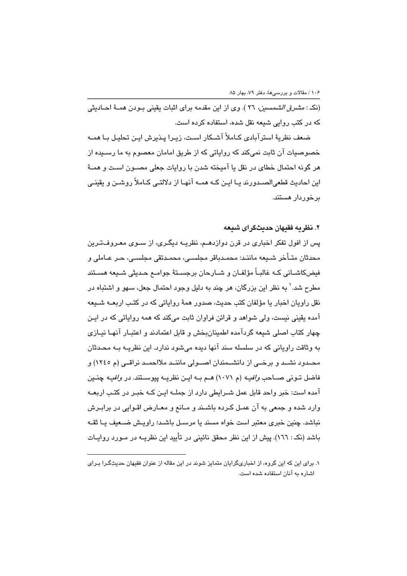(نکـ : *مشرق الشمسين،* ٢٦ ). وی از اين مقدمه برای اثبات يقينی بـودن همــهٔ احــاديثی که در کتب روایی شیعه نقل شده، استفاده کرده است.

ضعف نظريةَ استر آيادي كـاملاً آشـكار اسـت، زيـرا يـذيرش ايـن تحليـل بـا همـه خصوصیات آن ثابت نمیکند که روایاتی که از طریق امامان معصوم به ما رسـیده از هر گونه احتمال خطای در نقل یا آمیخته شدن با روایات جعلی مصــون اسـت و همــهٔ این احادیث قطعیالصــدورند یــا ایــن کــه همــه آنهــا از دلالتــی کــاملاً روشــن و یقینــی برخوردار هستند.

۲. نظر به فقبهان حدیثگرای شیعه

پس از افول تفکر اخباری در قرن دوازدهـم، نظریــه دیگـری، از ســوی معـروفـتـرین محدثان متـأخر شـيعه ماننـد: محمـدباقر مجلسـي، محمـدتقی مجلسـي، حـر عـاملي و فيضكاشــاني كـه غالبــاً مؤلفـان و شــارحان برجســتهٔ جوامــع حـديثي شــيعه هســتند مطرح شد. ` به نظر این بزرگان، هر چند به دلیل وجود احتمال جعل، سهو و اشتباه در نقل راویان اخبار یا مؤلفان کتب حدیث، صدور همهٔ روایاتی که در کتب اربعــه شــیعه آمده یقینی نیست، ولی شواهد و قرائن فراوان ثابت میکند که همه روایاتی که در ایـن چهار کتاب اصلی شیعه گردآمده اطمینانبخش و قابل اعتمادند و اعتبـار آنهـا نیـازی به وثاقت راوياني كه در سلسله سند آنها ديده مي شود ندارد. اين نظريــه بــه محـدثان محـدود نشــد و برخــی از دانشــمندان اصــولی ماننــد ملااحمــد نراقــی (م ١٢٤٥) و فاضل تـوني صـاحب وافيـه (م ١٠٧١) هـم بـه ايـن نظريـه پيوسـتند. در وافيـه چنـين آمده است: خبر واحد قابل عمل شـرایطی دارد از جملــه ایـن کــه خبـر در کتـب اربعــه وارد شده و جمعی به آن عمـل کـرده باشـند و مـانع و معـارض اقـوایی در برابـرش نباشد. چنین خبری معتبر است خواه مسند یا مرسـل باشـد؛ راویـش ضـعیف یـا ثقـه باشد (نکـ : ١٦٦). پیش از این نظر محقق نائینی در تأیید این نظریــه در مــورد روایــات

۱. برای این که این گروه، از اخباریگرایان متمایز شوند در این مقاله از عنوان فقیهان حدیثگـرا بـرای اشاره به آنان استفاده شده است.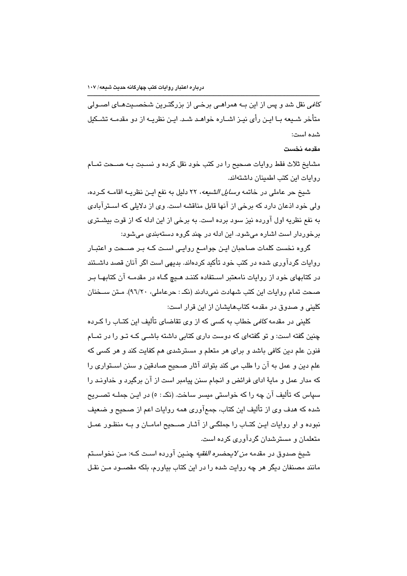ک*افی* نقل شد و پس از این بـه همرا*هـی* برخـی از بزرگتـرین شخصـیتهـای اصــولی متأخر شـيعه بـا ايـن رأى نيـز اشـاره خواهـد شـد. ايـن نظريـه از دو مقدمـه تشـكيل شده است:

## مقدمه نخست

مشايخ ثلاث فقط روايات صحيح را در كتب خود نقل كرده و نسـبت بـه صـحت تمـام روایات این کتب اطمینان داشتهاند.

شيخ حر عاملي در خاتمه *وسايل الشيعه*، ٢٢ دليل به نفع ايـن نظريـه اقامــه كـرده، ولی خود اذعان دارد که برخی از آنها قابل مناقشه است. وی از دلایلی که اســترآبادی به نفع نظریه اول آورده نیز سود برده است. به برخی از این ادله که از قوت بیشـتری برخوردار است اشاره میشود. این ادله در چند گروه دستهبندی میشود:

گروه نخست کلمات صاحبان ایـن جوامـع روایـی اسـت کــه بـر صــحت و اعتبـار روایات گردآوری شده در کتب خود تأکید کردهاند. بدیهی است اگر آنان قصد داشــتند در کتابهای خود از روایات نامعتبر اسـتفاده کننـد هـیچ گـاه در مقدمــه آن کتابهـا بـر صحت تمام روايات اين كتب شهادت نمىدادند (نكـ : حرعاملي، ٩٦/٢٠). مـتن سـخنان کلینی و صدوق در مقدمه کتابهایشان از این قرار است:

کلینی در مقدمه *کافی* خطاب به کسی که از وی تقاضای تألیف این کتــاب را کــرده چنین گفته است: و تو گفتهای که دوست داری کتابی داشته باشـی کـه تـو را در تمـام فنون علم دین کافی باشد و برای هر متعلم و مسترشدی هم کفایت کند و هر کسی که علم دين و عمل به آن را طلب مي كند بتواند آثار صحيح صادقين و سنن اسـتواري را كه مدار عمل و مايهٔ ادای فرائض و انجام سنن پيامبر است از آن برگيرد و خداونـد را سياس كه تأليف آن چه را كه خواستی ميسر ساخت. (نكـ : ٥) در ايـن جملــه تصــريح شده که هدف وی از تألیف این کتاب، جمعآوری همه روایات اعم از صحیح و ضعیف نبوده و او روایات ایـن کتـاب را جملگـی از آشار صــحیح امامـان و بـه منظـور عمـل متعلمان و مستر شدان گر دآور ی کرده است.

شيخ صدوق در مقدمه *من لايحضره الفقيه* چنين آورده است كـه: مـن نخواسـتم مانند مصنفان دیگر هر چه روایت شده را در این کتاب بیاورم، بلکه مقصـود مـن نقـل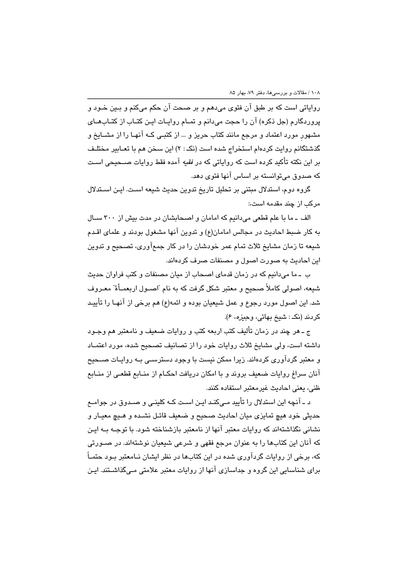روایاتی است که بر طبق آن فتوی میدهم و بر صحت آن حکم میکنم و بـین خـود و پروردگارم (جل ذکره) آن را حجت میدانم و تمـام روایـات ایـن کتـاب از کتـاب هـای مشهور مورد اعتماد و مرجع مانند کتاب حریز و … از کتبے کـه آنهـا را از مشــایخ و گذشتگانم روایت کردهام استخراج شده است (نکـ : ۲) این سخن هم با تعـابیر مختلـف بر این نکته تأکید کرده است که روایاتی که در *فقیه* آمده فقط روایات صــحیحی اسـت که صدوق می توانسته بر اساس آنها فتوی دهد.

گروه دوم، استدلال مبتنی بر تحلیل تاریخ تدوین حدیث شیعه اسـت. ایـن اسـتدلال مرکب از چند مقدمه است،:

الف - ما با علم قطعی میدانیم که امامان و اصحابشان در مدت بیش از ٣٠٠ سال به کار ضبط احادیث در مجالس امامان(ع) و تدوین آنها مشغول بودند و علمای اقـدم شیعه تا زمان مشایخ ثلاث تمام عمر خودشان را در کار جمعآوری، تصحیح و تدوین این احادیث به صورت اصول و مصنفات صرف کردهاند.

ب ــ ما می دانیم که در زمان قدمای اصحاب از میان مصنفات و کتب فراوان حدیث شيعه، اصولي كاملاً صحيح و معتبر شكل گرفت كه به نام "اصـول اربعمـأهْ" معـروف شد. این اصول مورد رجوع و عمل شیعیان بوده و ائمه(ع) هم برخی از آنهـا را تأییـد كردند (نكـ : شيخ بهائي، وجيزه، ع).

ج ــ هر چند در زمان تألیف کتب اربعه کتب و روایات ضعیف و نامعتبر هم وجـود داشته است، ولي مشايخ ثلاث روايات خود را از تصانيف تصحيح شده، مورد اعتمـاد و معتبر گردآوری کردهاند. زیرا ممکن نیست با وجود دسترسـی بـه روایـات صــحیح آنان سراغ روایات ضعیف بروند و با امکان دریافت احکـام از منـابع قطعـی از منـابع ظني، يعني احاديث غيرمعتبر استفاده كنند.

د ـ آنچه این استدلال را تأیید مـیکنـد ایـن اسـت کـه کلینـی و صـدوق در جوامـع حديثي خود هيچ تمايزي ميان احاديث صحيح و ضعيف قائيل نشيده و هيچ معيار و نشانی نگذاشتهاند که روایات معتبر آنها از نامعتبر بازشناخته شود. با توجـه بـه ایـن که آنان این کتابها را به عنوان مرجع فقهی و شرعی شیعیان نوشتهاند. در صـورتی که، برخی از روایات گردآوری شده در این کتابها در نظر ایشان نـامعتبر بـود حتمـاً برای شناسایی این گروه و جداسازی آنها از روایات معتبر علامتی مـیگذاشـتند. ایـن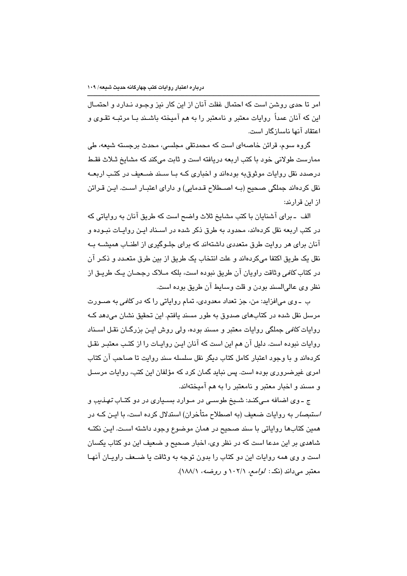امر تا حدی روشن است که احتمال غفلت آنان از این کار نیز وجبود نبدارد و احتمـال این که آنان عمداً روایات معتبر و نامعتبر را به هم آمیخته باشـند بـا مرتبـه تقـوی و اعتقاد آنها ناساز گار است.

گروه سوم، قرائن خاصەای است کە محمدتقی مجلسی، محدث برجسته شیعه، طی ممارست طولانی خود با کتب اربعه دریافته است و ثابت میکند که مشایخ ثـلاث فقـط درصدد نقل روایات موثوق،به بودهاند و اخباری کـه بـا سـند ضـعیف در کتـب اربعـه نقل کردهاند جملگی صحیح (بــه اصــطلاح قـدمایی) و دارای اعتبـار اسـت. ایـن قـرائن از این قرارند:

الف ـ براي آشنايان با كتب مشايخ ثلاث واضح است كه طريق آنان به رواياتي كه در کتب اربعه نقل کردهاند، محدود به طرق ذکر شده در اســناد ایــن روایــات نبــوده و آنان برای هر روایت طرق متعددی داشتهاند که برای جلبوگیری از اطنـاب همیشـه بـه نقل يک طريق اکتفا ميکردهاند و علت انتخاب يک طريق از بين طرق متعـدد و ذکـر آن در کتاب *کافی* وثاقت راویان آن طریق نبوده است، بلکه مــلاک رجحــان یــک طریــق از نظر وي عالميالسند بودن و قلت وسايط آن طريق بوده است.

ب ـ وی میافزاید: من، جز تعداد معدودی، تمام روایاتی را که در ک*افی* به صــورت مرسل نقل شده در کتابهای صدوق به طور مسند یافتم. این تحقیق نشان میدهد کـه روایات *کافی* جملگی روایات معتبر و مسند بوده، ولی روش ایـن بزرگـان نقـل اســناد روایات نبوده است. دلیل آن هم این است که آنان ایـن روایـات را از کتـب معتبـر نقـل کردهاند و با وجود اعتبار کامل کتاب دیگر نقل سلسله سند روایت تا صاحب آن کتاب امری غیرضروری بوده است. پس نباید گمان کرد که مؤلفان این کتب، روایات مرسـل و مسند و اخبار معتبر و نامعتبر را به هم آمیختهاند.

ج ــ وی اضافه مــیکنـد: شــیخ طوســی در مــوارد بســیاری در دو کتــاب *تهـذیب* و *استبصار* به روایات ضعیف (به اصطلاح متأخران) استدلال کرده است، با ایـن کـه در همین کتابها روایاتی با سند صحیح در همان موضوع وجود داشته اسـت. ایـن نکتـه شاهدی بر این مدعا است که در نظر وی، اخبار صحیح و ضعیف این دو کتاب یکسان است و وی همه روایات این دو کتاب را بدون توجه به وثاقت یا ضـعف راویـان آنهـا معتبر میداند (نک: *لوامع، ۱۰*۲/۱ و *روضه، ۱*۸۸/۱).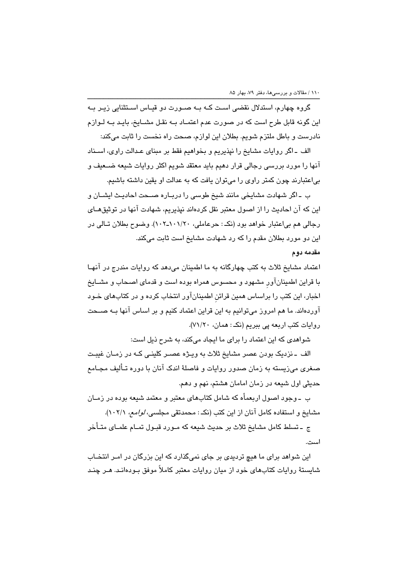گروه چهارم، استدلال نقضی است کـه بـه صـورت دو قیـاس اسـتثنایی زیـر بـه این گونه قابل طرح است که در صورت عدم اعتمـاد بـه نقـل مشـایخ، بایـد بـه لـوازم نادرست و باطل ملتزم شويم. بطلان اين لوازم، صحت راه نخست را ثابت ميكند:

الف ۔اگر روایات مشایخ را نیذیریم و بخواهیم فقط بر مبنای عـدالت راوی، اسـناد آنها را مورد بررسی رجالی قرار دهیم باید معتقد شویم اکثر روایات شیعه ضــعیف و بی|عتبارند چون کمتر راوی را می;توان یافت که به عدالت او یقین داشته باشیم.

ب ۔اگر شهادت مشایخی مانند شیخ طوسی را دربـاره صـحت احادیـث ایشـان و این که آن احادیث را از اصول معتبر نقل کردهاند نیذیریم، شهادت آنها در توثیقهـای رجالي هم بي|عتبار خواهد بود (نکه : حرعاملي، ١٠١/٢٠-١٠٢). وضوح بطلان تـالي در این دو مورد بطلان مقدم را که رد شهادت مشایخ است ثابت میکند.

#### مقدمه دوم

اعتماد مشایخ ثلاث به کتب چهارگانه به ما اطمینان میدهد که روایات مندرج در آنهـا با قراین اطمینانآور مشهود و محسوس همراه بوده است و قدمای اصحاب و مشــایخ اخبار، این کتب را براساس همین قرائن اطمینانآور انتخاب کرده و در کتابهای خـود آوردهاند. ما هم امروز میتوانیم به این قراین اعتماد کنیم و بر اساس آنها بـه صــحت روايات كتب اربعه يي ببريم (نكـ : همان، ٧١/٢٠).

شواهدی که این اعتماد را برای ما ایجاد میکند، به شرح ذیل است:

الف ۔نزدیک بودن عصر مشایخ ثلاث به ویـژه عصـر کلینـی کـه در زمـان غیبـت صغری میزیسته به زمان صدور روایات و فاصلهٔ اندک آنان با دوره تـألیف مجـامع حدیثی اول شیعه در زمان امامان هشتم، نهم و دهم.

ب ـ وجود اصول اربعمأه که شامل کتابهای معتبر و معتمد شیعه بوده در زمـان مشايخ و استفاده كامل آنان از اين كتب (نكـ: محمدتقى مجلسى، *لوامع، ١٠٢/١).* 

ج ۔تسلط کامل مشایخ ثلاث بر حدیث شیعه که مـورد قبـول تمـام علمـای متـأخر است.

این شواهد برای ما هیچ تردیدی بر جای نمیگذارد که این بزرگان در امـر انتخـاب شایستهٔ روایات کتابهای خود از میان روایات معتبر کاملاً موفق بـودهانـد. هـر چنـد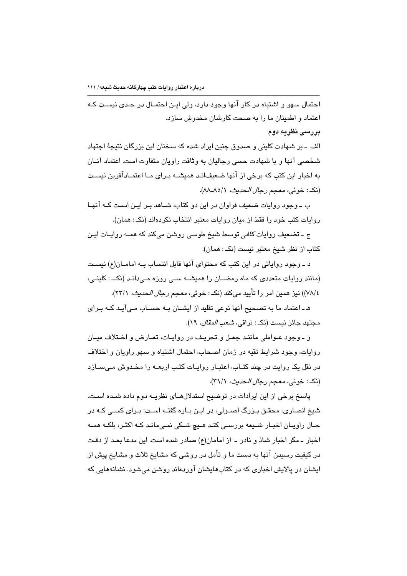احتمال سهور و اشتباه در کار آنها وجود دارد، ولی این احتمـال در حـدی نسبت کـه اعتماد و اطمینان ما را به صحت کارشان مخدوش سازد.

بررسی نظریه دوم

الف ـ بر شهادت کلینی و صدوق چنین ایراد شده که سخنان این بزرگان نتیجهٔ اجتهاد شخصی آنها و با شهادت حسی رجالیان به وثاقت راویان متفاوت است. اعتماد آنــان به اخبار این کتب که برخی از آنها ضعیفانـد همیشـه بـرای مـا اعتمـادآفرین نیسـت (نكـ : خوئي، معجم رج*ال الحديث، ٨*/٨٨ـ٨٨).

ب ۔وجود روایات ضعیف فراوان در این دو کتاب، شــاهد بـر ایــن اسـت کــه آنهـا روايات كتب خود را فقط از ميان روايات معتبر انتخاب نكردهاند (نكه: همان).

ج ـ تضعیف روایات *کافی* توسط شیخ طوسی روشن میکند که همــه روایــات ایـن كتاب از نظر شيخ معتبر نيست (نكـ : همان).

د ـ وجود روایاتی در این کتب که محتوای آنها قابل انتساب بـه امامــان(ع) نیسـت (مانند روایات متعددی که ماه رمضـان را همیشـه سـی روزه مـیدانـد (نکــ : کلینـی، ٧٨/٤)) نيز همين امر را تأييد مىكند (نكـ : خوئى، *معجم رجال الحديث،* ٢٣/١).

هـ ـ اعتماد ما به تصحیح آنها نوعی تقلید از ایشــان بــه حســاب مــیآیـد کــه بـرای مجتهد جائز نيست (نكـ : نراقي، *شعب المقال*، ١٩).

و ـ وجود عـواملي ماننـد جعـل و تحريـف در روايـات، تعـارض و اخـتلاف ميـان روايات، وجود شرايط تقيه در زمان اصحاب، احتمال اشتباه و سهو راويان و اختلاف در نقل یک روایت در چند کتـاب، اعتبـار روایـات کتـب اربعــه را مـخـدوش مـی،ســازد (نكـ : خوئي، معجم رجال الحدث، ٣١/١).

پاسخ برخی از این ایرادات در توضیح استدلالهـای نظریـه دوم داده شـده اسـت. شیخ انصاری، محقـق بـزرگ اصـولی، در ایـن بـاره گفتـه اسـت: بـرای کسـی کـه در حـال راویـان اخبـار شــٰیعه بررسـی کنـْـد هـیچ شـکی نمـی،مانـد کــه اکثـُر، بلکـه همــه اخبار ـ مگر اخبار شاذ و نادر ـ از امامان(ع) صادر شده است. این مدعا بعـد از دقـت در کیفیت رسیدن آنها به دست ما و تأمل در روشی که مشایخ ثلاث و مشایخ پیش از ایشان در پالایش اخباری که در کتابهایشان آوردهاند روشن میشود. نشانههایی که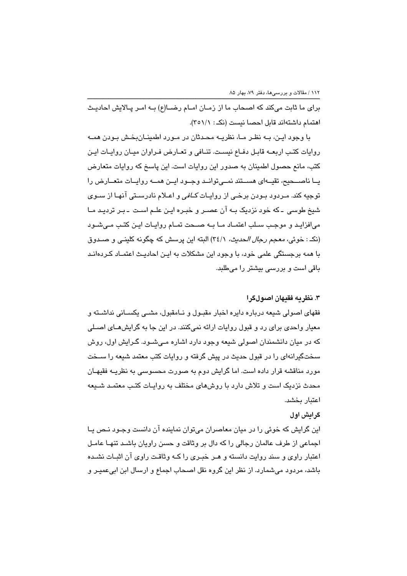برای ما ثابت میکند که اصحاب ما از زمـان امـام رضـا(ع) بـه امـر پـالایش احادیـث اهتمام داشتهاند قابل احصا نيست (نكـ : ٢٥١/١).

با وجود ایـن، بـه نظـر مـا، نظریـه محـدثان در مـورد اطمینــانبخـش بـودن همــه روايات كتـب اربعــه قابـل دفــاع نيسـت. تنــافي و تعــارض فـراوان ميــان روايــات ايـن کتب، مانع حصول اطمینان به صدور این روایات است. این پاسخ که روایات متعارض یــا ناصـــحیح، تقیــهای هســتند نمــیتوانــد وجــود ایــن همــه روایــات متعــارض را توجیه کند. مـردود بـودن برخـی از روایـات *کــافی* و اعــلام نادرسـتی آنهـا از ســوی شیخ طوسی ۔که خود نزدیک بـه آن عصـر و خبـره ایـن علـم اسـت ۔بـر تردیـد مـا میافزاید و موجب سلب اعتمـاد مـا بـه صـحت تمـام روایـات ایـن کتـب مـیشـود (نکـ : خوئی، *معجم رجال الحدیث،* ۳٤/۱) البته این پرسش که چگونه کلینـی و صـدوق با همه برجستگی علمی خود، با وجود این مشکلات به ایـن احادیـث اعتمـاد کـردهانـد باقی است و بررسی بیشتر را میطلبد.

# ۳. نظریه فقیهان اصولگرا

فقهای اصولی شیعه درباره دایره اخبار مقبـول و نـامقبول، مشـی یکسـانی نداشـته و معیار واحدی برای رد و قبول روایات ارائه نمیکنند. در این جا به گرایشهـای اصـلی که در میان دانشمندان اصولی شیعه وجود دارد اشاره مـیشـود. گـرایش اول، روش سختگیرانهای را در قبول حدیث در پیش گرفته و روایات کتب معتمد شیعه را ســخت مورد مناقشه قرار داده است. اما گرایش دوم به صورت محسوسی به نظریـه فقیهـان محدث نزدیک است و تلاش دارد با روشهای مختلف به روایـات کتـب معتمـد شـیعه اعتبار بخشد.

## گر ایش اول

این گرایش که خوئی را در میان معاصران می توان نماینده آن دانست وجـود نـص یـا اجماعی از طرف عالمان رجالی را که دال بر وثاقت و حسن راویان باشـد تنهـا عامـل اعتبار راوی و سند روایت دانسته و هـر خبـری را کـه وثاقـت راوی آن اثبـات نشـده باشد، مردود میشمارد. از نظر این گروه نقل اصحاب اجماع و ارسال ابن ابیعمیـر و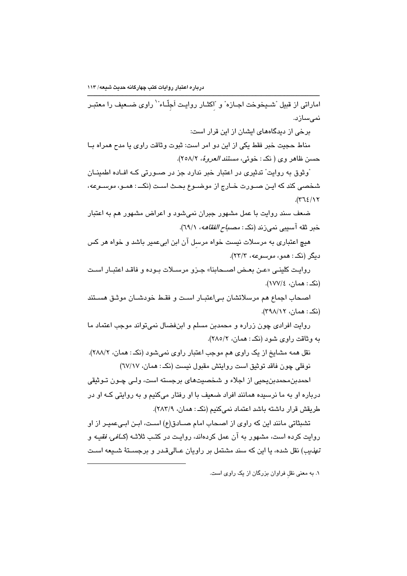اماراتی از قبیل "شــیخوخت اجــازه" و "اکثــار روایـت اَجِلّــاء"<sup>\</sup> راوی ضــعیف را معتبـر نمے سازد.

بر خی از دیدگاههای ایشان از این قرار است:

مناط حجيت خبر فقط يكي از اين دو امر است: ثبوت وثاقت راوي يا مدح همراه بـا حسن ظاهر وي ( نکه: خوئي، *مستند العروهٔ*، ٢٥٨/٢).

ّوثوق به روایت" تدثیری در اعتبار خبر ندارد جز در صـورتی کـه افـاده اطمینــان شخصی کند که ایـن صــورت خــارج از موضــوع بحـث اسـت (نکـــ : همــو، *موســوعه*،  $.(\Upsilon\Upsilon\xi/\Upsilon\Upsilon)$ 

ضعف سند روایت با عمل مشهور جبران نمیشود و اعراض مشهور هم به اعتبار خبر ثقه آسيبي نميزند (نکـ : *مصباح الفقاهـ»، ٢٩/١*).

هیچ اعتباری به مرسلات نیست خواه مرسل آن ابن ابیعمیر باشد و خواه هر کس ديگر (نک: همو، *موسوعه*، ٢٣/٣).

روايت كليني «عـن بعـض اصـحابنا» جـزو مرسـلات بـوده و فاقـد اعتبـار اسـت (نک: همان، ١٧٧/٤).

اصحاب اجماع هم مرسلاتشان بےاعتبار است و فقط خودشان موثق هستند (نک: همان، ۲۹۸/۱۲).

روایت افرادی چون زراره و محمدبن مسلم و ابنفضال نمیتواند موجب اعتماد ما به وثاقت راوي شود (نکه: همان، ۲۸٥/۲).

نقل همه مشايخ از يک راوي هم موجب اعتبار راوي نمي شود (نکـ : همان، ٢٨٨/٢). نوفلي چون فاقد توثيق است روايتش مقبول نيست (نکه : همان، ٦٧/١٧)

احمدبن،حمدبن،يحيي از اجلاء و شخصيتهاي برجسته است، ولـي چـون تـوثيقي درباره او به ما نرسیده همانند افراد ضعیف با او رفتار میکنیم و به روایتی کـه او در طريقش قرار داشته باشد اعتماد نمي كنيم (نكه: همان، ٢٨٣/٩).

تشبثاتی مانند این که راوی از اصحاب امام صـادق(ع) اسـت، ابـن ابـی عمیـر از او روایت کرده است، مشهور به آن عمل کردهاند، روایـت در کتـب ثلاثـه (*کــافی، فقیــه* و ت*هذيب)* نقل شده، يا اين كه سند مشتمل بر راويان عـالىقـدر و برجسـتهٔ شـيعه اسـت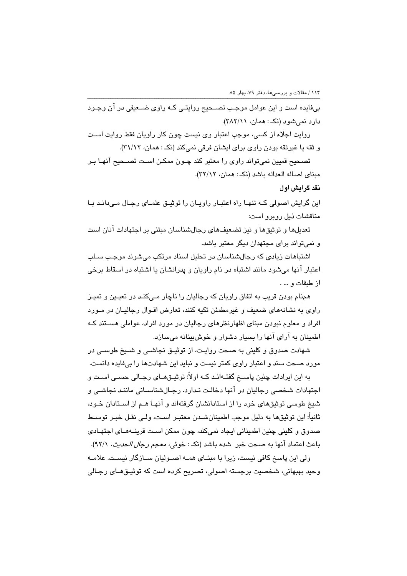بیفایده است و این عوامل موجب تصـحیح روایتـی کـه راوی ضـعیفی در آن وجـود دارد نمیشود (نک: همان، ۳۸۲/۱۱).

روايت اجلاء از كسي، موجب اعتبار وي نيست چون كار راويان فقط روايت اسـت و ثقه یا غیرثقه بودن راوی برای ایشان فرقی نمیکند (نکه: همان، ۲۱/۱۲).

تصحيح قميين نمي تواند راوي را معتبر كند چـون ممكـن اسـت تصــحيح آنهـا بـر ميناي اصاله العداله ياشد (نكـ : همان، ٣٢/١٢).

نقد گرایش اول

این گرایش اصولی کـه تنهـا راه اعتبـار راویـان را توثیـق علمـای رجـال مـیدانـد بـا مناقشات ذیل روبرو است:

تعدیلها و توثیقها و نیز تضعیفهای رجالشناسان مبتنی بر اجتهادات آنان است و نمی تواند برای مجتهدان دیگر معتبر باشد.

اشتباهات زیادی که رجالشناسان در تحلیل اسناد مرتکب میشوند موجب سـلب اعتبار آنها میشود مانند اشتباه در نام راویان و پدرانشان یا اشتباه در اسقاط برخی از طبقات و ….

همنام بودن قریب به اتفاق راویان که رجالیان را ناچار مے کنـد در تعیـین و تمیـز راوی به نشانههای ضعیف و غیرمطمئن تکیه کنند، تعارض اقـوال رجالیـان در مـورد افراد و معلوم نبودن مبنای اظهارنظرهای رجالیان در مورد افراد، عواملی هستند کـه اطمینان به آرای آنها را بسیار دشوار و خوشبینانه میسازد.

شهادت صدوق و کلینی به صحت روایت، از توثیـق نجاشـی و شـیخ طوسـی در مورد صحت سند و اعتبار راوی کمتر نیست و نباید این شهادتها را بیفایده دانست.

به این ایرادات چنین پاســخ گفتــهانـد کــه اولاً: توثیـقهــای رجــالی حســی اســت و اجتهادات شخصی رجالیان در آنها دخالـت نـدارد. رجـالشناسـانی ماننـد نجاشـی و شیخ طوسی توثیقهای خود را از استادانشان گرفتهاند و آنهـا هـم از اسـتادان خـود، ثانياً: اين توثيقها به دليل موجب اطمينانشـدن معتبـر اسـت، ولـي نقـل خبـر توسـط صدوق و کلینی چنین اطمینانی ایجاد نمیکند، چون ممکن اسـت قرینــههــای اجتهــادی باعث اعتماد آنها به صحت خبر شده باشد (نكـ : خوئي، *معجم رجال الحديث*، ٩٢/١).

ولی این پاسخ کافی نیست، زیرا با مبنـای همـه اصـولیان سـازگار نیسـت. علامـه وحيد بهبهاني، شخصيت برجسته اصولي، تصريح كرده است كه توثيـقهـاي رجـالي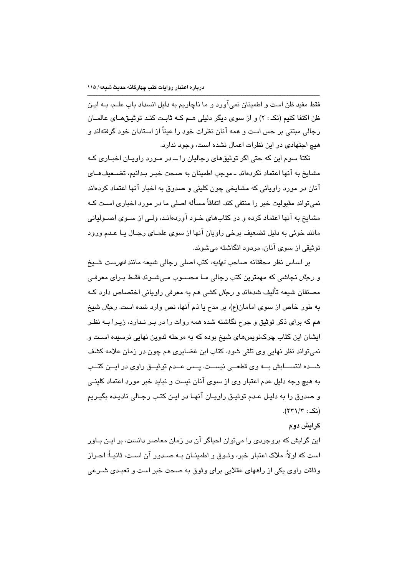فقط مفيد ظن است و اطمينان نمي آورد و ما ناچاريم به دليل انسداد باب عليم، بــه ايـن ظن اکتفا کنیم (نک : ۲) و از سوی دیگر دلیلی هـم کـه ثابـت کنـد توثیـقهـای عالمـان رجالي مبتني بر حس است و همه آنان نظرات خود را عيناً از استادان خود گرفتهاند و هیچ اجتهادی در این نظرات اعمال نشده است، وجود ندارد.

نکتۀ سوم این که حتی اگر توثیقِهای رجالیان را ـــ در مـورد راویــان اخبــاری کــه مشايخ به آنها اعتماد نكردهاند ـ موجب اطمينان به صحت خبـر بـدانيم، تضـعيفـهـاي آنان در مورد راویانی که مشایخی چون کلینی و صدوق به اخبار آنها اعتماد کردهاند نمی تواند مقبولیت خبر را منتفی کند. اتفاقاً مسأله اصلی ما در مورد اخباری اسـت کـه مشایخ به آنها اعتماد کرده و در کتابهای خـود آوردهانـد، ولـی از سـوی اصــولیانی مانند خوئی به دلیل تضعیف برخی راویان آنها از سوی علمــای رجـال یــا عــدم ورود توثيقي از سوي آنان، مردود انگاشته مي شوند.

بر اساس نظر محققانه صاحب *نهايه*، كتب اصلى رجالى شيعه مانن*د فهرست* شـيخ و *رجال* نجاشی که مهمترین کتب رجالی مـا محسـوب مـی شـوند فقـط بـرای معرفـی مصنفان شیعه تألیف شدهاند و *رجال* کشی هم به معرفی راویانی اختصاص دارد کـه به طور خاص از سوی امامان(ع)، بر مدح یا ذم آنها، نص وارد شده است. *رجال* شیخ هم که برای ذکر توثیق و جرح نگاشته شده همه روات را در بـر نـدارد، زیـرا بـه نظـر ایشان این کتاب چرک،نویسهای شیخ بوده که به مرحله تدوین نهایی نرسیده اسـت و نمي تواند نظر نهايي وي تلقى شود. كتاب ابن غضايري هم چون در زمان علامه كشف شــده انتســـابش بــه وى قطعـــى نيســت. يــس عــدم توثيــق راوى در ايــن كتــب په هېچ وجه دلیل عدم اعتبار وي از سوی آنان نیست و نباید خبر مورد اعتماد کلینے و صدوق را به دليل عـدم توثيـق راويـان آنهـا در ايـن كتـب رجـالى ناديـده بگيـريم  $(\overline{(\sqrt{2} + \sqrt{2})})$ 

# گرائش دوم

این گرایش که بروجردی را میتوان احیاگر آن در زمان معاصر دانست، بر ایـن بـاور است که اولاً: ملاک اعتبار خبر، وثـوق و اطمینــان بــه صــدور آن اسـت، ثانیــاً: احــراز وثاقت راوی یکی از راههای عقلایی برای وثوق به صحت خبر است و تعبـدی شــرعی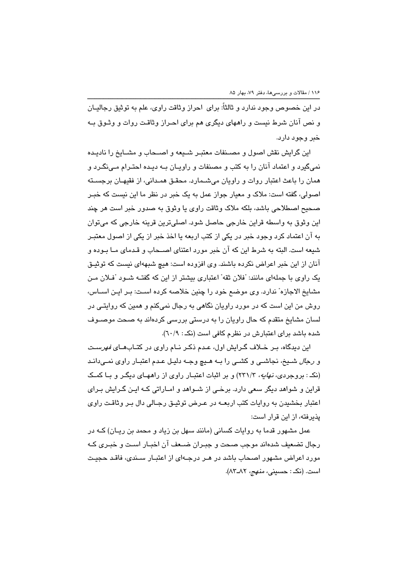در این خصوص وجود ندارد و ثالثاً: برای احراز وثاقت راوی، علم به توثیق رجالیــان و نص آنان شرط نیست و راههای دیگری هم برای احـراز وثاقـت روات و وثـوق بـه خبر وجود دارد.

اين گرايش نقش اصول و مصـنفات معتبـر شـيعه و اصـحاب و مشـايخ را ناديـده نمیگیرد و اعتماد آنان را به کتب و مصنفات و راویـان بـه دیـده احتـرام مـینگـرد و همان را باعث اعتبار روات و راویان میشـمارد. محقـق همـدانی، از فقیهـان برجسـته اصولی، گفته است: ملاک و معیار جواز عمل به یک خبر در نظر ما این نیست که خبـر صحيح اصطلاحي باشد، بلكه ملاک وثاقت راوي يا وثوق به صدور خبر است هر چند اين وثوق به واسطه قراين خارجي حاصل شود. اصلي ترين قرينه خارجي كه مي توان په آن اعتماد کړد وجوړه خبر در یکی از کتب اربعه یا اخذ خبر از یکی از اصول معتبر شيعه است. البته به شرط اين كه آن خبر مورد اعتناى اصــحاب و قـدماى مـا بـوده و آنان از این خبر اعراض نکرده باشند. وی افزوده است: هیچ شبههای نیست که توثیـق یک راوی با جملهای مانند: "فلان ثقه" اعتباری بیشتر از این که گفتـه شـود "فـلان مـن مشايخ الاجازه" ندارد. وى موضع خود را چنين خلاصه كرده است: بـر ايـن اسـاس، روش من این است که در مورد راویان نگاهی به رجال نمیکنم و همین که روایتی در لسان مشایخ متقدم که حال راویان را به درستی بررسی کردهاند به صحت موصــوف شده باشد برای اعتبارش در نظرم کافی است (نکه: ٦٠/٩).

این دیدگاه، بـر خـلاف گـرایش اول، عـدم ذکـر نـام راوی در کتـابهـای *فهرست* و *رجال* شـيخ، نجاشـي و كشـي را بــه هـيچ وجــه دليـل عـدم اعتبـار راوي نمـيدانـد (نکه: بروجردی، *نهایه*، ۲۳۱/۳) و بر اثبات اعتبـار راوی از راههـای دیگـر و بــا کمــک قراین و شواهد دیگر سعی دارد. پرخبی از شیواهد و امباراتی کیه این گیرایش پیرای اعتبار بخشیدن به روایات کتب اربعیه در عبرض توشیق رجبالی دال پیر وثاقت راوی پذیرفته، از این قرار است:

عمل مشهور قدما به روایات کسانی (مانند سهل بن زباد و محمد بن ریبان) کبه در رجال تضعیف شدهاند موجب صحت و جبـران ضـعف آن اخبـار اسـت و خبـری کـه مورد اعراض مشهور اصحاب باشد در هـر درجـهای از اعتبـار سـندی، فاقـد حجیـت است. (نک: حسینی، *منهج*، ۸۲ـ۸۲).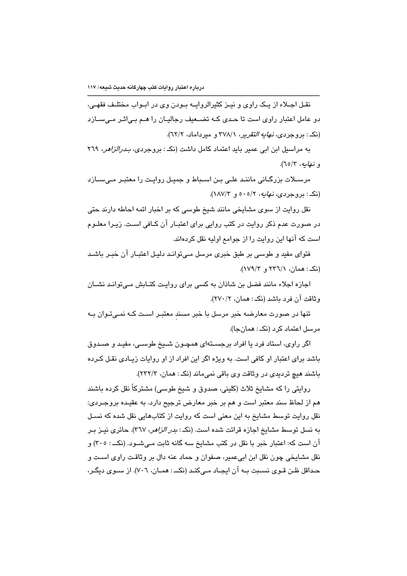نقـل اجـلاء از يـک راوي و نيـز کثيرالروايــه بــودن وي در ابــواب مختلـف فقهـي، دو عامل اعتبار راوی است تا حدی کـه تضـعیف رجالیـان را هـم بـیاثـر مـیسـازد (نک: دروجردی، *نهایه التقرین* ۲۷۸/۱ و میرداماد، ۲۲/۲).

به مراسیل این ابی عمیر باید اعتماد کامل داشت (نک: بروجردی، *بدرالزاهر*، ۲۱۹ و نع*امه، ۲*/۰۲).

مرســلات بزرگــانی ماننـد علــی بـن اســباط و جمیـل روایـت را معتبـر مــی،ســازد (نک: بروجردی، *نهایه*، ۰۵/۲ و ۱۸۷/۳).

نقل روایت از سوی مشایخی مانند شیخ طوسی که بر اخبار ائمه احاطه دارند حتی در صورت عدم ذکر روایت در کتب روایی برای اعتبـار آن کـافی اسـت. زیـرا معلـوم است که آنها این روایت را از جوامع اولیه نقل کردهاند.

فتوای مفید و طوسی بر طبق خبری مرسل مے توانـد دلیـل اعتبـار آن خبـر باشـد (نک: همان، ۲۳٦/۱ و ۱۷۹/۲).

اجازہ اجلاء مانند فضل بن شاذان به کسی برای روایت کتـابش مـی توانـد نشــان و ثاقت آن فر د پاشد (نکه: همان، ۲۷۰/۲).

تنها در صورت معارضه خبر مرسل با خبر مسند معتبـر اسـت کـه نمـی تـوان بـه مرسل اعتماد کرد (نکـ : همان جا).

اگر راوی، استاد فرد یا افراد برجســتهای همچــون شــیخ طوســی، مفیـد و صــدوق باشد برای اعتبار او کافی است. به ویژه اگر این افراد از او روایات زیـادی نقـل کـرده باشند هیچ تردیدی در وثاقت وی باقی نمی ماند (نکه: همان، ۲۳۲/۳).

روايتي را كه مشايخ ثلاث (كليني، صدوق و شيخ طوسي) مشتركاً نقل كرده باشند هم از لحاظ سند معتبر است و هم بر خبر معارض ترجيح دارد. به عقيده بروجـردي: نقل روایت توسط مشایخ به این معنی است که روایت از کتابهایی نقل شده که نسبل به نسل توسط مشايخ اجازه قرائت شده است. (نکـ : *بدر الزاهر*، ٣٦٧). حائري نيـز بـر آن است که: اعتبار خبر با نقل در کتب مشایخ سه گانه ثابت مـیشـود. (نکــ : ٣٠٥) و نقل مشايخي چون نقل ابن ابيءمير، صفوان و حماد عنه دال بر وثاقت راوي است و حـداقل ظـن قـوى نسـبت بــه آن ايجـاد مـىكنـد (نكـــ : همـان، ٧٠٦). از سـوى ديگـر،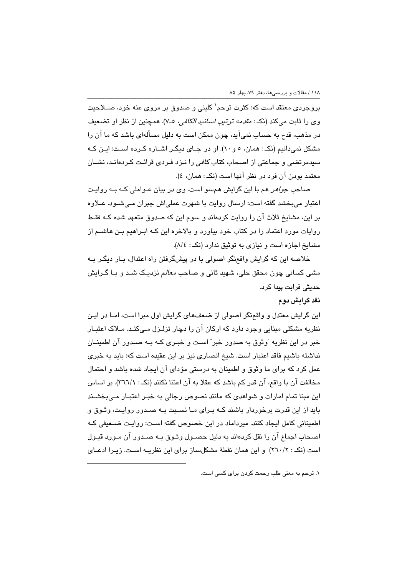بروجردی معتقد است که: کثرت ترحم` کلینی و صدوق بر مروی عنه خود، صــلاحیت وى را ثابت مىكند (نكـ : *مقدمه ترتيب اسانيد الكافى،* ٥-٧). همچنين از نظر او تضعيف در مذهب، قدح به حساب نمیآید، چون ممکن است به دلیل مسألهای باشد که ما آن را مشکل نمیدانیم (نک: همان، ٥ و ١٠). او در جای دیگر اشاره کرده است: این که سیدمرتضی و جماعتی از اصحاب کتاب *کافی ر*ا نـزد فـردی قرائـت کـردهانـد، نشــان معتمد بودن آن فرد در نظر آنها است (نکه: همان، ٤).

صاحب *جراهر* هم با این گرایش همسو است. وی در بیان عـواملی کـه بـه روایـت اعتبار میبخشد گفته است: ارسال روایت با شهرت عملیاش جبران مـیشـود. عـلاوه بر این، مشایخ ثلاث آن را روایت کردهاند و سوم این که صدوق متعهد شده کــه فقـط روایات مورد اعتماد را در کتاب خود بیاورد و بالاخره این کـه ابـراهیم بـن هاشــم از مشايخ اجازه است و نيازي به توثيق ندارد (نکه: ٨/٤).

خلاصه این که گرایش واقعنگر اصولی با در پیشگرفتن راه اعتدال، بـار دیگـر بـه مشے کسانی چون محقق حلی، شهید ثانی و صاحب *معالم* نزدیـک شـد و بـا گـرایش حديثي قرابت پيدا كرد.

## نقد گرايش دوم

این گرایش معتدل و واقع نگر اصولی از ضعفهای گرایش اول مبرا است، امـا در ایـن نظريه مشکلی مبنايی وجود دارد که ارکان آن را دچار تزلـزل مـیکنـد. مـلاک اعتبـار خبر در این نظریه "وثوق به صدور خبر" است و خبـری کـه بـه صـدور آن اطمینـان نداشته باشیم فاقد اعتبار است. شیخ انصاری نیز بر این عقیده است که: باید به خبری عمل کرد که برای ما وثوق و اطمینان به درستی مؤدای آن ایجاد شده باشد و احتمال مخالفت آن با واقع، آن قدر کم باشد که عقلا به آن اعتنا نکنند (نکـ : ٣٦٦/١). بر اساس این مبنا تمام امارات و شواهدی که مانند نصوص رجالی به خبـر اعتبـار مـیبخشـند باید از این قدرت برخوردار باشند کـه بـرای مـا نسـبت بـه صـدور روایـت، وثـوق و اطمینانی کامل ایجاد کنند. میرداماد در این خصوص گفته اسـت: روایـت ضـعیفی کـه اصحاب اجماع آن را نقل کردهاند به دلیل حصــول وثـوق بــه صــدور آن مـورد قبـول است (نکه: ٢٦٠/٢) و این همان نقطهٔ مشکلساز برای این نظریـه اسـت. زیـرا ادعـای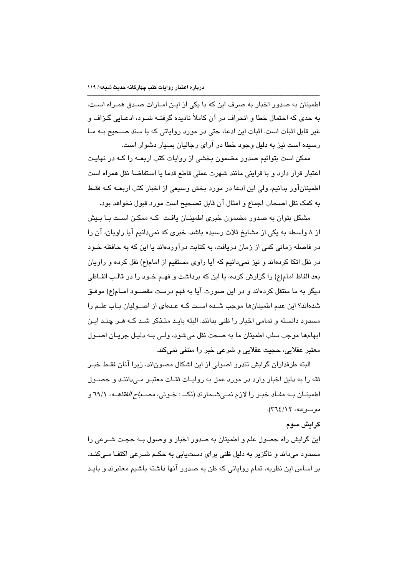اطمینان به صدور اخبار به صرف این که با یکی از ایـن امــارات صــدق همـراه اسـت، به حدی که احتمال خطا و انحراف در آن کاملاً نادیده گرفتـه شـود، ادعـایی گـزاف و غیر قابل اثبات است. اثبات این ادعا، حتی در مورد روایاتی که با سند صـحیح بــه مــا رسیده است نیز به دلیل وجود خطا در آرای رجالیان بسیار دشوار است.

ممکن است بتوانیم صدور مضمون بخشی از روایات کتب اربعــه را کــه در نهایـت اعتبار قرار دارد و با قراینی مانند شهرت عملی قاطع قدما یا استفاضهٔ نقل همراه است اطمینانآور بدانیم، ولی این ادعا در مورد بخش وسیعی از اخبار کتب اربعــه کــه فقـط به كمك نقل اصحاب اجماع و امثال آن قابل تصحيح است مورد قبول نخواهد بود.

مشکل بتوان به صدور مضمون خبری اطمینـان یافـت کـه ممکـن اسـت بـا بـیش از ۸ واسطه به یکی از مشایخ ثلاث رسیده باشد. خبری که نمیدانیم آیا راویان، آن را در فاصله زمانی کمی از زمان دریافت، به کتابت درآوردهاند یا این که به حافظه خـود در نقل اتکا کردهاند و نیز نمیدانیم که آیا راوی مستقیم از امام(ع) نقل کرده و راویان بعد الفاظ امام(ع) را گزارش کرده، یا این که برداشت و فهـم خـود را در قالـب الفـاظی دیگر به ما منتقل کردهاند و در این صورت آیا به فهم درست مقصـود امــام(ع) موفـق شدهاند؟ این عدم اطمینانها موجب شده است کـه عـدهای از اصـولیان بـاب علـم را مسدود دانسته و تمامی اخبار را ظنی بدانند. البته بایـد متـذکر شـد کـه هـر چنـد ایـن ابهامها موجب سلب اطمينان ما به صحت نقل مي شود، ولـي بــه دليـل جريـان اصــول معتبر عقلايي، حجيت عقلايي و شرعي خبر را منتفي نميكند.

البته طرفداران گرایش تندرو اصولی از این اشکال مصوناند، زیرا آنان فقـط خبـر ثقه را به دلیل اخبار وارد در مورد عمل به روایات ثقـات معتبـر مـیداننـد و حصـول اطمينان به مفـاد خبـر را لازم نمـى شـمارند (نكــ : خـوئى، *مصـباح الفقاهــه*، ٦٩/١ و موسوعه، ٣٦٤/١٢).

# گرايش سوم

این گرایش راه حصول علم و اطمینان به صدور اخبار و وصول بـه حجـت شـرعی را مسدود میداند و ناگزیر به دلیل ظنی برای دستیابی به حکـم شــرعی اکتفـا مـیکنـد. بر اساس این نظریه، تمام روایاتی که ظن به صدور آنها داشته باشیم معتبرند و بایـد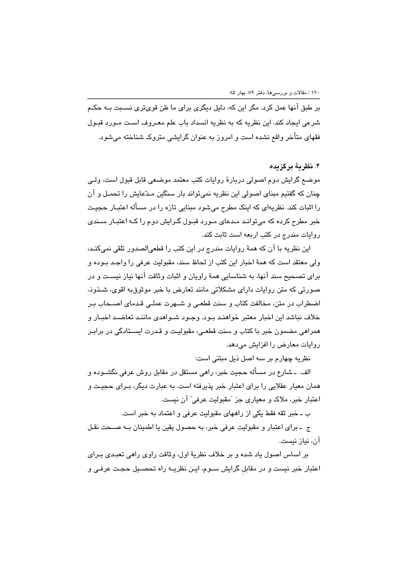بر طبق آنها عمل کرد. مگر این که، دلیل دیگری برای ما ظن قویتری نسـبت بــه حکــم شرعی ایجاد کند. این نظریه که به نظریه انسداد باب علم معـروف اسـت مـورد قبـول فقهای متأخر واقع نشده است و امروز به عنوان گرایشی متروک شناخته میشود.

## ۴. نظرية بركزيده

موضع گرایش دوم اصولی دربارهٔ روایات کتب معتمد موضعی قابل قبول است، ولـی چنان که گفتیم مبنای اصولی این نظریه نمیتواند بار سنگین مـدّعایش را تحمـل و آن را اثبات کند. نظریهای که اینک مطرح می شود مبنایی تازه را در مسأله اعتبـار حجیـت خبر مطرح کرده که می توانـد مـدعای مـورد قبـول گـرایش دوم را کـه اعتبـار سـندی روایات مندرج در کتب اربعه است ثابت کند.

این نظریه با آن که همهٔ روایات مندرج در این کتب را قطعیالصدور تلقی نمیکنـد، ولي معتقد است كه همهٔ اخبار اين كتب از لحاظ سند، مقبوليت عرفي را واجـد بـوده و برای تصحیح سند آنها، به شناسایی همهٔ راویان و اثبات وثاقت آنها نیاز نیسـت و در صورتی که متن روایات دارای مشکلاتی مانند تعارض با خبر موثوقبه اقوی، شـذوذ، اضطراب در متن، مخالفت كتاب و سنت قطعـى و شــهرت عملـى قـدماى اصــحاب بـر خلاف نباشد این اخبار معتبر خواهنـد بـود. وجـود شـواهدی ماننـد تعاضـد اخبـار و همراهی مضمون خبر با کتاب و سنت قطعی، مقبولیت و قـدرت ایسـتادگی در برابـر روایات معارض را افزایش می،دهد.

نظريه چهارم بر سه اصل ذيل مبتنى است:

الف ـ شارع در مسأله حجيت خبر، راهي مستقل در مقابل روش عرفي نگشــوده و همان معيار عقلايي را براي اعتبار خبر پذيرفته است. به عبارت ديگر، بـراي حجيـت و اعتبار خبر، ملاک و معیاری جز "مقبولیت عرفی" آن نیست.

ب ـ خبر ثقه فقط یکی از راههای مقبولیت عرفی و اعتماد به خبر است.

ج - برای اعتبار و مقبولیت عرفی خبر، به حصول یقین یا اطمینان بـه صـحت نقـل آن، نياز نيست.

بر اساس اصول ياد شده و بر خلاف نظرية اول، وثاقت راوي راهي تعبدي بـراي اعتبار خبر نیست و در مقابل گرایش سـوم، ایـن نظریـه راه تحصـیل حجـت عرفـی و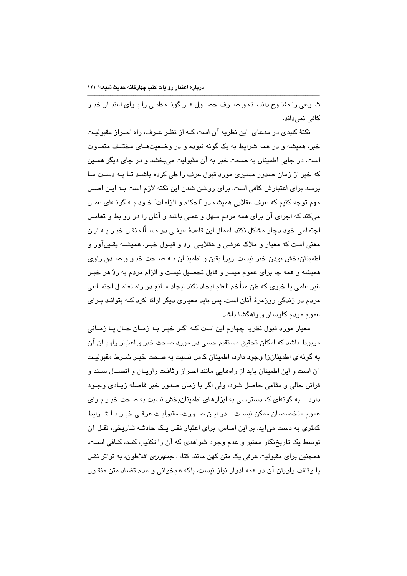شیرعی را مفتوح دانسته و صیرف حصبول هیر گونیه ظنبی را پیرای اعتبار خیبر كافى نمى،داند.

نكتهٔ كليدي در مدعاى اين نظريه آن است كـه از نظـر عـرف، راه احـراز مقبوليـت خبر، همیشه و در همه شرایط به یک گونه نیوده و در وضعیتهای مختلف متفاوت است. در جایی اطمینان به صحت خبر به آن مقبولیت میبخشد و در جای دیگر همـین که خبر از زمان صدور مسیری مورد قبول عرف را طی کرده باشـد تـا بـه دسـت مـا برسد برای اعتبارش کافی است. برای روشن شدن این نکته لازم است بـه ایـن اصـل مهم توجه کنیم که عرف عقلایی همیشه در "احکام و الزامات" خـود بـه گونـهای عمـل میکند که اجرای آن برای همه مردم سهل و عملی باشد و آنان را در روابط و تعامـل اجتماعی خود دچار مشکل نکند. اعمال این قاعدهٔ عرفـی در مســأله نقـل خبـر بــه ایـن معنی است که معیار و ملاک عرفـی و عقلایـی رد و قبـول خبـر، همیشــه یقـینآور و اطمينانبخش بودن خبر نيست. زيرا يقين و اطمينــان بــه صــحت خبـر و صــدق راوي همیشه و همه جا برای عموم میسر و قابل تحصیل نیست و الزام مردم به ردّ هر خبـر غیر علمی یا خبری که ظن متأخم للعلم ایجاد نکند ایجاد مــانم در راه تعامـل اجتمــاعی مردم در زندگی روزمرهٔ آنان است. پس باید معیاری دیگر ارائه کرد کـه بتوانـد بـرای عموم مردم کارساز و راهگشا باشد.

معيار مورد قبول نظريه چهارم اين است كـه اگـر خبـر بـه زمـان حـال يـا زمـانى مربوط باشد که امکان تحقیق مستقیم حسی در مورد صحت خبر و اعتبار راویـان آن به گونهای اطمینانزا وجود دارد، اطمینان کامل نسبت به صحت خبـر شـرط مقبولیـت آن است و این اطمینان باید از راههایی مانند احـراز وثاقـت راویـان و اتصــال ســند و قرائن حالی و مقامی حاصل شود، ولی اگر با زمان صدور خبر فاصله زیبادی وجبود دارد -به گونهای که دسترسی به ابزارهای اطمینانبخش نسبت به صحت خبـر بـرای عموم متخصصان ممکن نیست ـ در ایـن صـورت، مقبولیـت عرفـی خبـر بـا شـرایط کمتری به دست میآید. بر این اساس، برای اعتبار نقـل یـک حادثـه تـاریخی، نقـل آن توسط یک تاریخنگار معتبر و عدم وجود شواهدی که آن را تکذیب کنـد، کــافی اسـت. همچنین برای مقبولیت عرفی یک متن کهن مانند کتاب ج*مهوری* افلاطون، به تواتر نقـل یا وثاقت راویان آن در همه ادوار نیاز نیست، بلکه همخوانی و عدم تضاد متن منقـول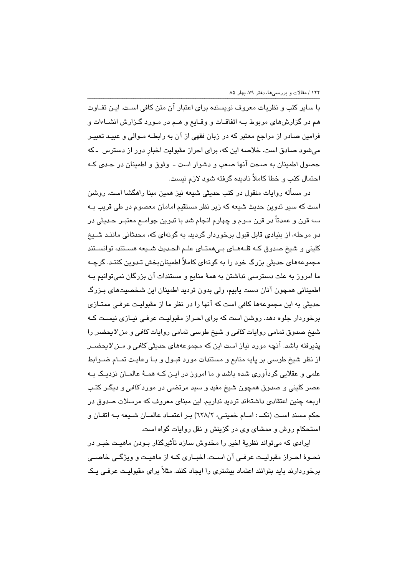با سایر کتب و نظریات معروف نویسنده برای اعتبار آن متن کافی اسـت. ایـن تفـاوت هم در گزارشهای مربوط بــه اتفاقــات و وقــایـع و هــم در مــورد گــزارش انشــاءات و فرامین صادر از مراجع معتبر که در زبان فقهی از آن به رابطـه مـوالی و عبیـد تعبیـر می شود صادق است. خلاصه این که، برای احراز مقبولیت اخبار دور از دسترس -که حصول اطمینان به صحت آنها صعب و دشوار است ـ وثوق و اطمینان در حدی کـه احتمال کذب و خطا کاملاً نادیده گرفته شود لازم نست.

در مسأله روایات منقول در کتب حدیثی شیعه نیز همین مبنا راهگشا است. روشن است که سیر تدوین حدیث شیعه که زیر نظر مستقیم امامان معصوم در طی قریب بـه سه قرن و عمدتاً در قرن سوم و چهارم انجام شد با تدوین جوامــع معتبـر حــدیثی در دو مرحله، از بنیادی قابل قبول برخوردار گردید. به گونهای که، محدثانی ماننـد شـیخ کلینی و شیخ صدوق کـه قلــهــای بــیهمتـای علــم الـحـدیث شــیعه هســتند، توانســتند مجموعههای حدیثی بزرگ خود را به گونهای کاملاً اطمینانبخش تـدوین کننـد. گرچـه ما امروز به علت دسترسی نداشتن به همهٔ منابع و مستندات آن بزرگان نمیتوانیم بـه اطمینانی همچون آنان دست یابیم، ولی بدون تردید اطمینان این شخصیتهای بـزرگ حدیثی به این مجموعهها کافی است که آنها را در نظر ما از مقبولیت عرفی ممتـازی برخوردار جلوه دهد. روشن است که برای احـراز مقبولیـت عرفـی نیـازی نیسـت کـه شیخ صدوق تمامی روایات *کافی و* شیخ طوسی تمامی روایات *کافی و من لا*یحض*ر* را پذیرفته باشد. آنچه مورد نیاز است این که مجموعههای حدیث*ی کافی و مـن لایحضـر* از نظر شيخ طوسي بر پايه منابع و مستندات مورد قبـول و بـا رعايـت تمـام ضـوابط علمی و عقلایی گردآوری شده باشد و ما امروز در ایـن کـه همـهٔ عالمــان نزدیـک بــه عصر کلینی و صدوق همچون شیخ مفید و سید مرتضی در مورد *کافی* و دیگـر کتـب اربعه چنین اعتقادی داشتهاند تردید نداریم. این مبنای معروف که مرسلات صدوق در حكم مسند است (نكــ : امـام خمينـي، ٦٢٨/٢) بـر اعتمـاد عالمـان شـيعه بـه اتقـان و استحکام روش و ممشای وی در گزینش و نقل روایات گواه است.

ایرادی که می تواند نظریهٔ اخیر را مخدوش سازد تأثیرگذار بـودن ماهیـت خبـر در نحـوۂ احـراز مقبوليـت عرفـى آن اسـت. اخبـارى كـه از ماهيـت و ويژگـى خاصـى برخوردارند باید بتوانند اعتماد بیشتری را ایجاد کنند. مثلاً برای مقبولیت عرفـی یـک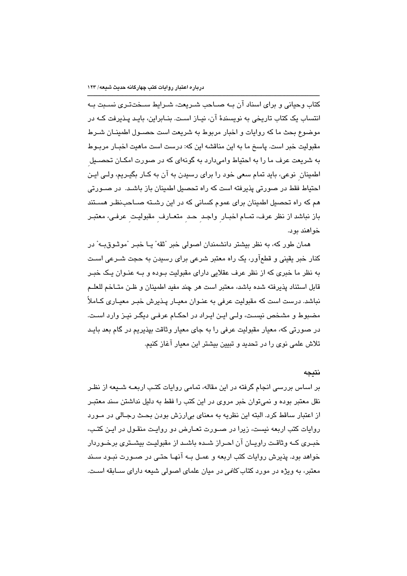کتاب وحیانی و برای اسناد آن به صباحت شیریعت، شیرایط سیخت تیری نسیت بیه انتساب یک کتاب تاریخی به نویسندهٔ آن، نیـاز اسـت. بنـابراین، بایـد پـذیرفت کـه در موضوع بحث ما كه روايات و اخبار مربوط به شريعت است حصـول اطمينـان شـرط مقبولیت خبر است. پاسخ ما به این مناقشه این که: درست است ماهیت اخیبار مربیوط به شریعت عرف ما را به احتیاط وامیدارد به گونهای که در صورت امکـان تحصـیل اطمینان نوعی، باید تمام سعی خود را برای رسیدن به آن به کـار بگیـریم، ولـی ایـن احتیاط فقط در صورتی پذیرفته است که راه تحصیل اطمینان باز باشـد. در صــورتی هم که راه تحصیل اطمینان برای عموم کسانی که در این رشـته صــاحب:نظـر هســتند باز نباشد از نظر عرف، تمـام اخبـار واجـد حـد متعـارف مقبوليـت عرفـى، معتبـر خو اهند پو د.

همان طور که، به نظر بیشتر دانشمندان اصولی خبر "ثقه" یـا خبـر "موثـوق بـه" در کنار خبر یقینی و قطعآور، یک راه معتبر شرعی برای رسیدن به حجت شـرعی اسـت به نظر ما خبری که از نظر عرف عقلایی دارای مقبولیت بـوده و بـه عنـوان یـک خبـر قابل استناد پذیرفته شده باشد، معتبر است هر چند مفید اطمینان و ظـن متـاخم للعلـم نباشد. درست است که مقبولیت عرفی به عنـوان معیـار پـذیرش خبـر معیـاری کــاملاً مضبوط و مشخص نیسـت، ولـی ایـن ایـراد در احکـام عرفـی دیگـر نیـز وارد اسـت. در صورتی که، معیار مقبولیت عرفی را به جای معیار وثاقت بیذیریم در گام بعد بایـد تلاش علمی نوی را در تحدید و تبیین بیشتر این معیار آغاز کنیم.

### نتىجە

بر اساس بررسی انجام گرفته در این مقاله، تمامی روایات کتـب اربعــه شــیعه از نظـر نقل معتبر بوده و نمی توان خبر مروی در این کتب را فقط به دلیل نداشتن سند معتبـر از اعتبار ساقط کرد. البته این نظریه به معنای بی ارزش بودن بحث رجبالی در مبورد روایات کتب اربعه نیست، زیرا در صـورت تعـارض دو روایـت منقـول در ایـن کتـب، خبـری کـه وثاقـت راویـان آن احـراز شـده باشـد از مقبولیـت بیشـتری برخـوردار خواهد بود. پذیرش روایات کتب اربعه و عمـل بــه آنهـا حتـی در صــورت نبــود ســند معتبر، به ویژه در مورد کتاب *کافی* در میان علمای اصولی شیعه دارای سـابقه اسـت.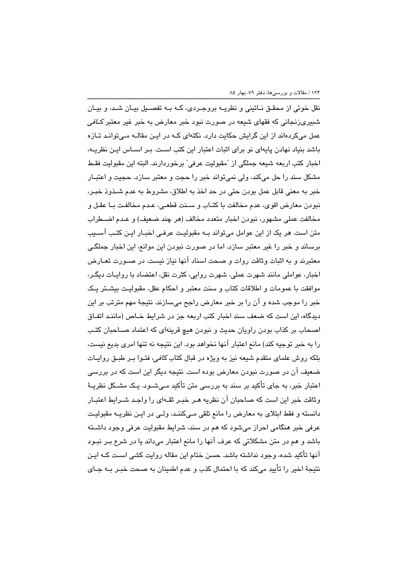نقل خوئی از محقـق نــائينی و نظريــه بروجـردی، كــه بــه تفصــيل بيــان شــد، و بيــان شبیریزنجانی که فقهای شیعه در صورت نبود خبر معارض به خبر غیر معتبر *کـافی* عمل میکردهاند از این گرایش حکایت دارد. نکتهای کـه در ایـن مقالـه مـی توانـد تــازه باشد بنیاد نهادن پایهای نو برای اثبات اعتبار این کتب اسـت. بـر اسـاس ایـن نظریــه، اخبار كتب اربعه شيعه جملگي از "مقبوليت عرفي" برخوردارند. البته اين مقبوليت فقـط مشکل سند را حل میکند، ولی نمی تواند خبر را حجت و معتبر سازد. حجیت و اعتبـار خبر به معنی قابل عمل بودن حتی در حد اخذ به اطلاق، مشروط به عدم شــذوذ خبــر، نبودن معارض اقوى، عدم مخالفت با كتـاب و سـنت قطعـى، عـدم مخالفـت بـا عقـل و مخالفت عملي مشهور، نبودن اخبار متعدد مخالف (هر چند ضعيف) و عـدم اضــطراب متن است. هر یک از این عوامل میتواند بــه مقبولیـت عرفـی اخبــار ایــن کتــب آســیب برساند و خبر را غیر معتبر سازد. اما در صورت نبودن این موانم، این اخبار جملگی معتبرند و به اثبات وثاقت روات و صحت اسناد آنها نیاز نیست. در صـورت تعـارض اخبار، عواملی مانند شهرت عملی، شهرت روایی، کثرت نقل، اعتضاد با روایـات دیگـر، موافقت با عمومات و اطلاقات كتاب و سنت معتبر و احكام عقل، مقبوليت بيشـتر يـك خبر را موجب شده و آن را بر خبر معارض راجح میسازند. نتیجهٔ مهم مترتب بر این دیدگاه، این است که ضعف سند اخبار کتب اربعه جز در شرایط خـاص (ماننـد اتفـاق اصحاب بر کذاب بودن راويان حديث و نبودن هيچ قرينهاي که اعتماد صـاحبان کتـب را به خبر توجیه کند) مانم اعتبار آنها نخواهد بود. این نتیجه نه تنها امری بدیم نیست، بلکه روش علمای متقدم شیعه نیز به ویژه در قبال کتاب *کافی،* فتـوا بـر طبـق روایـات ضعیف آن در صورت نبودن معارض بوده است. نتیجه دیگر این است که در بررسی اعتبار خبر، به جای تأکید بر سند به بررسی متن تأکید مـیشـود. یـک مشـکل نظریـهٔ وثاقت خبر این است که صاحبان آن نظریه هـر خبـر ثقـهای را واجـد شـرایط اعتبـار دانسته و فقط ابتلای به معارض را مانع تلقی مـیکننـد، ولـی در ایـن نظریـه مقبولیـت عرفی خبر هنگامی احراز میشود که هم در سند، شرایط مقبولیت عرفی وجود داشـته باشد و هم در متن مشکلاتی که عرف آنها را مانع اعتبار میداند یا در شرع بـر نبـود آنها تأکید شده، وجود نداشته باشد. حسن ختام این مقاله روایت کشی اسـت کـه ایـن نتيجهٔ اخير را تأييد ميكند كه با احتمال كذب و عدم اطمينان به صحت خبـر بــه جـاي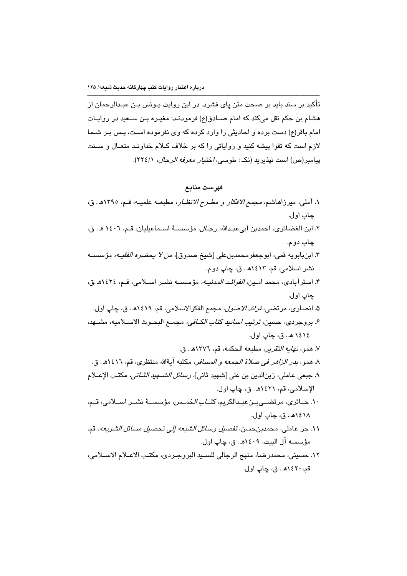تأکید بر سند باید بر صحت متن پای فشرد. در این روایت پـونس بـن عبـدالرحمان از هشام بن حکم نقل میکند که امام صــادق(ع) فرمودنـد: مغیـره بـن ســعید در روایـات امام باقر(ع) دست برده و احادیثی را وارد کرده که وی نفرموده اسـت، پـس بـر شـما لازم است که تقوا پیشه کنید و روایاتی را که بر خلاف کـلام خداونـد متعـال و سـنت پيامبر(ص) است نپذيريد (نک: طوسي، *اختيار معرفه الرجال*، ٢٢٤/١).

#### فهرست منابع

۱. آملي، ميرزاهاشم، *مجمع الافكار و مطـرح الانظـار*، مطبعــه علميــه، قــم، ١٣٩٥هـ. ق، چاپ اول. ٢. ابن الغضائري، احمدبن ابي عبدالله، رجل ، مؤسسة اسـماعيليان، قـم، ١٤٠٦ هـ. ق، چاپ دوم. ٣. ابنبابويه قمي، ابوجعفرمحمدبنعلي [شيخ صدوق]، *من لا يحضره الفقيـه،* مؤسسـه نشر اسلامی، قم، ۱۶۱۳هـ. ق، چاپ دوم. ۴. استرآبادي، محمد امـين، *الفوائـد المدنيـه،* مؤسسـه نشـر اسـلامي، قـم، ١٤٢٤هـ.ق، چاپ اول. ۵. انصاری، مرتض*ی، فرائد الاصول،* مجمع الفکرالاسلامی، قم، ۱۶۱۹ه. ق، چاپ اول. ۶. بروجردي، حسين، ترتيب *اسانيد كتاب الكــافي،* مجمــع البحــوث الاســـلاميه، مشـــهد، ١٤١٤ هـ. ق، چاپ اول. ٧. همو، *نهايه التقرير،* مطبعه الحكمه، قم، ١٣٧٦هـ. ق. ٨. همو، بدر الزاهر في صلاة الجمعه و المسافر، مكتبه آيةالله منتظري، قم، ١٤١٦هـ. ق. ٩. جبعي عاملي، زينالدين بن علي [شهيد ثاني]، *رسائل الشــهيد الثــاني،* مكتـب الإعــلام الإسلامي، قم، ١٤٢١هـ. ق، چاپ اول. ١٠. حـائري، مرتضــىبــنعبـدالكريم، كت*ــاب الـخمــس*، مؤسســـة نشــر اســلامى، قــم، ١٤١٨هـ. ق، چاپ اول. ١١. حر عاملي، محمدبن حسن، تفصيل *وسائل الشيعه إلى تحصيل مسائل الشريعه،* قم، مؤسسه آل البيت، ١٤٠٩هـ. ق، چاپ اول. ١٢. حسيني، محمدرضا، منهج الرجالي للسـيد البروجـردي، مكتـب الاعـلام الاســلامي، قم، ١٤٢٠هـ. ق، چاپ اول.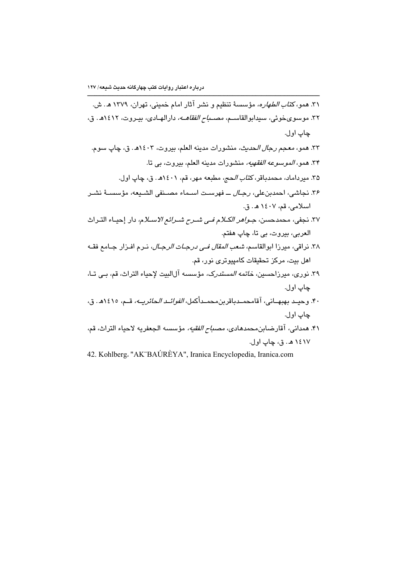42. Kohlberg. "AK"BAÚRÈYA", Iranica Encyclopedia, Iranica.com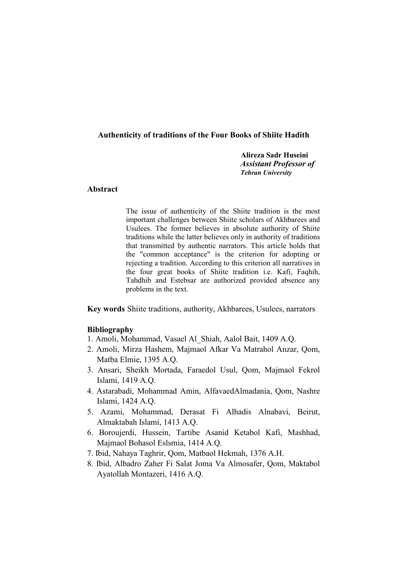## **Authenticity of traditions of the Four Books of Shiite Hadith**

Alireza Sadr Huseini **Assistant Professor of Tehran University** 

#### **Abstract**

The issue of authenticity of the Shiite tradition is the most important challenges between Shiite scholars of Akhbarees and Usulees. The former believes in absolute authority of Shiite traditions while the latter believes only in authority of traditions that transmitted by authentic narrators. This article holds that the "common acceptance" is the criterion for adopting or rejecting a tradition. According to this criterion all narratives in the four great books of Shiite tradition i.e. Kafi, Faqhih, Tahdhib and Estebsar are authorized provided absence any problems in the text.

Key words Shiite traditions, authority, Akhbarees, Usulees, narrators

## **Bibliography**

- 1. Amoli, Mohammad, Vasael Al Shiah, Aalol Bait, 1409 A.Q.
- 2. Amoli, Mirza Hashem, Majmaol Afkar Va Matrahol Anzar, Qom, Matba Elmie, 1395 A.Q.
- 3. Ansari, Sheikh Mortada, Faraedol Usul, Qom, Majmaol Fekrol Islami, 1419 A.O.
- 4. Astarabadi, Mohammad Amin, AlfavaedAlmadania, Qom, Nashre Islami, 1424 A.Q.
- 5. Azami, Mohammad, Derasat Fi Alhadis Alnabavi, Beirut, Almaktabah Islami, 1413 A.Q.
- 6. Boroujerdi, Hussein, Tartibe Asanid Ketabol Kafi, Mashhad, Majmaol Bohasol Eslsmia, 1414 A.Q.
- 7. Ibid, Nahaya Taghrir, Oom, Matbaol Hekmah, 1376 A.H.
- 8. Ibid, Albadro Zaher Fi Salat Joma Va Almosafer, Oom, Maktabol Ayatollah Montazeri, 1416 A.Q.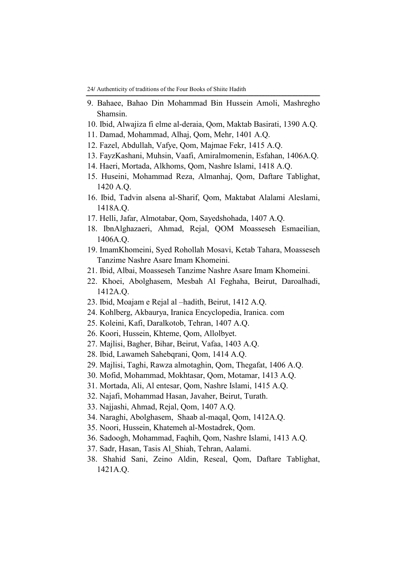24/ Authenticity of traditions of the Four Books of Shiite Hadith

- 9. Bahaee, Bahao Din Mohammad Bin Hussein Amoli, Mashregho Shamsin.
- 10. Ibid. Alwaiiza fi elme al-deraia. Oom. Maktab Basirati. 1390 A.O.
- 11. Damad, Mohammad, Alhaj, Qom, Mehr, 1401 A.Q.
- 12. Fazel, Abdullah, Vafye, Qom, Majmae Fekr, 1415 A.Q.
- 13. FayzKashani, Muhsin, Vaafi, Amiralmomenin, Esfahan, 1406A.Q.
- 14. Haeri, Mortada, Alkhoms, Qom, Nashre Islami, 1418 A.Q.
- 15. Huseini, Mohammad Reza, Almanhaj, Qom, Daftare Tablighat, 1420 A.Q.
- 16. Ibid, Tadvin alsena al-Sharif, Qom, Maktabat Alalami Aleslami, 1418A.Q.
- 17. Helli, Jafar, Almotabar, Qom, Sayedshohada, 1407 A.Q.
- 18. IbnAlghazaeri, Ahmad, Rejal, QOM Moasseseh Esmaeilian, 1406A.O.
- 19. ImamKhomeini, Syed Rohollah Mosavi, Ketab Tahara, Moasseseh Tanzime Nashre Asare Imam Khomeini.
- 21. Ibid, Albai, Moasseseh Tanzime Nashre Asare Imam Khomeini.
- 22. Khoei, Abolghasem, Mesbah Al Feghaha, Beirut, Daroalhadi, 1412A.O.
- 23. Ibid, Moajam e Rejal al hadith, Beirut, 1412 A.Q.
- 24. Kohlberg, Akbaurya, Iranica Encyclopedia, Iranica. com
- 25. Koleini, Kafi, Daralkotob, Tehran, 1407 A.Q.
- 26. Koori, Hussein, Khteme, Qom, Allolbyet.
- 27. Majlisi, Bagher, Bihar, Beirut, Vafaa, 1403 A.Q.
- 28. Ibid, Lawameh Sahebqrani, Qom, 1414 A.Q.
- 29. Majlisi, Taghi, Rawza almotaghin, Qom, Thegafat, 1406 A.Q.
- 30. Mofid, Mohammad, Mokhtasar, Qom, Motamar, 1413 A.Q.
- 31. Mortada, Ali, Al entesar, Qom, Nashre Islami, 1415 A.Q.
- 32. Najafi, Mohammad Hasan, Javaher, Beirut, Turath.
- 33. Najjashi, Ahmad, Rejal, Qom, 1407 A.Q.
- 34. Naraghi, Abolghasem, Shaab al-maqal, Qom, 1412A.Q.
- 35. Noori, Hussein, Khatemeh al-Mostadrek, Qom.
- 36. Sadoogh, Mohammad, Faqhih, Qom, Nashre Islami, 1413 A.Q.
- 37. Sadr, Hasan, Tasis Al Shiah, Tehran, Aalami.
- 38. Shahid Sani, Zeino Aldin, Reseal, Qom, Daftare Tablighat, 1421A.Q.